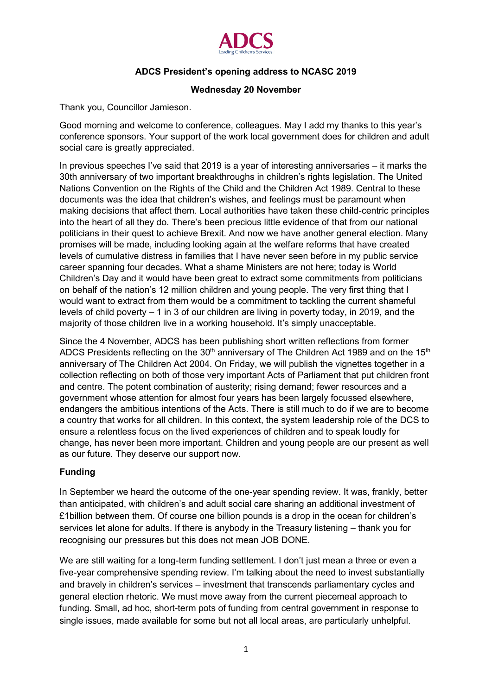

# **ADCS President's opening address to NCASC 2019**

## **Wednesday 20 November**

Thank you, Councillor Jamieson.

Good morning and welcome to conference, colleagues. May I add my thanks to this year's conference sponsors. Your support of the work local government does for children and adult social care is greatly appreciated.

In previous speeches I've said that 2019 is a year of interesting anniversaries – it marks the 30th anniversary of two important breakthroughs in children's rights legislation. The United Nations Convention on the Rights of the Child and the Children Act 1989. Central to these documents was the idea that children's wishes, and feelings must be paramount when making decisions that affect them. Local authorities have taken these child-centric principles into the heart of all they do. There's been precious little evidence of that from our national politicians in their quest to achieve Brexit. And now we have another general election. Many promises will be made, including looking again at the welfare reforms that have created levels of cumulative distress in families that I have never seen before in my public service career spanning four decades. What a shame Ministers are not here; today is World Children's Day and it would have been great to extract some commitments from politicians on behalf of the nation's 12 million children and young people. The very first thing that I would want to extract from them would be a commitment to tackling the current shameful levels of child poverty – 1 in 3 of our children are living in poverty today, in 2019, and the majority of those children live in a working household. It's simply unacceptable.

Since the 4 November, ADCS has been publishing short written reflections from former ADCS Presidents reflecting on the  $30<sup>th</sup>$  anniversary of The Children Act 1989 and on the 15<sup>th</sup> anniversary of The Children Act 2004. On Friday, we will publish the vignettes together in a collection reflecting on both of those very important Acts of Parliament that put children front and centre. The potent combination of austerity; rising demand; fewer resources and a government whose attention for almost four years has been largely focussed elsewhere, endangers the ambitious intentions of the Acts. There is still much to do if we are to become a country that works for all children. In this context, the system leadership role of the DCS to ensure a relentless focus on the lived experiences of children and to speak loudly for change, has never been more important. Children and young people are our present as well as our future. They deserve our support now.

## **Funding**

In September we heard the outcome of the one-year spending review. It was, frankly, better than anticipated, with children's and adult social care sharing an additional investment of £1billion between them. Of course one billion pounds is a drop in the ocean for children's services let alone for adults. If there is anybody in the Treasury listening – thank you for recognising our pressures but this does not mean JOB DONE.

We are still waiting for a long-term funding settlement. I don't just mean a three or even a five-year comprehensive spending review. I'm talking about the need to invest substantially and bravely in children's services – investment that transcends parliamentary cycles and general election rhetoric. We must move away from the current piecemeal approach to funding. Small, ad hoc, short-term pots of funding from central government in response to single issues, made available for some but not all local areas, are particularly unhelpful.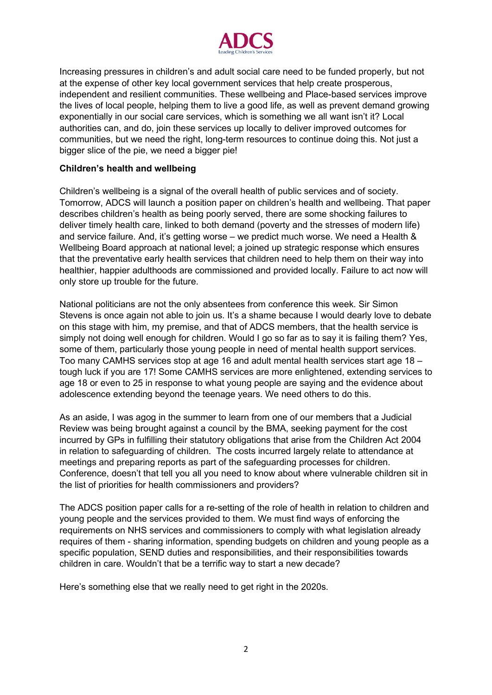

Increasing pressures in children's and adult social care need to be funded properly, but not at the expense of other key local government services that help create prosperous, independent and resilient communities. These wellbeing and Place-based services improve the lives of local people, helping them to live a good life, as well as prevent demand growing exponentially in our social care services, which is something we all want isn't it? Local authorities can, and do, join these services up locally to deliver improved outcomes for communities, but we need the right, long-term resources to continue doing this. Not just a bigger slice of the pie, we need a bigger pie!

#### **Children's health and wellbeing**

Children's wellbeing is a signal of the overall health of public services and of society. Tomorrow, ADCS will launch a position paper on children's health and wellbeing. That paper describes children's health as being poorly served, there are some shocking failures to deliver timely health care, linked to both demand (poverty and the stresses of modern life) and service failure. And, it's getting worse – we predict much worse. We need a Health & Wellbeing Board approach at national level; a joined up strategic response which ensures that the preventative early health services that children need to help them on their way into healthier, happier adulthoods are commissioned and provided locally. Failure to act now will only store up trouble for the future.

National politicians are not the only absentees from conference this week. Sir Simon Stevens is once again not able to join us. It's a shame because I would dearly love to debate on this stage with him, my premise, and that of ADCS members, that the health service is simply not doing well enough for children. Would I go so far as to say it is failing them? Yes, some of them, particularly those young people in need of mental health support services. Too many CAMHS services stop at age 16 and adult mental health services start age 18 – tough luck if you are 17! Some CAMHS services are more enlightened, extending services to age 18 or even to 25 in response to what young people are saying and the evidence about adolescence extending beyond the teenage years. We need others to do this.

As an aside, I was agog in the summer to learn from one of our members that a Judicial Review was being brought against a council by the BMA, seeking payment for the cost incurred by GPs in fulfilling their statutory obligations that arise from the Children Act 2004 in relation to safeguarding of children. The costs incurred largely relate to attendance at meetings and preparing reports as part of the safeguarding processes for children. Conference, doesn't that tell you all you need to know about where vulnerable children sit in the list of priorities for health commissioners and providers?

The ADCS position paper calls for a re-setting of the role of health in relation to children and young people and the services provided to them. We must find ways of enforcing the requirements on NHS services and commissioners to comply with what legislation already requires of them - sharing information, spending budgets on children and young people as a specific population, SEND duties and responsibilities, and their responsibilities towards children in care. Wouldn't that be a terrific way to start a new decade?

Here's something else that we really need to get right in the 2020s.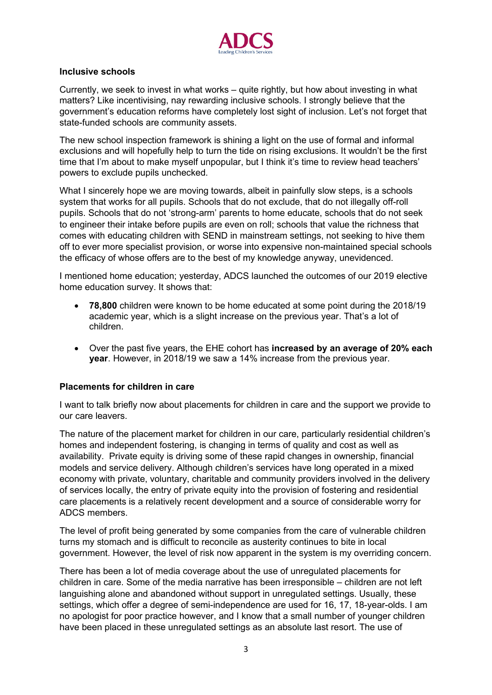

### **Inclusive schools**

Currently, we seek to invest in what works – quite rightly, but how about investing in what matters? Like incentivising, nay rewarding inclusive schools. I strongly believe that the government's education reforms have completely lost sight of inclusion. Let's not forget that state-funded schools are community assets.

The new school inspection framework is shining a light on the use of formal and informal exclusions and will hopefully help to turn the tide on rising exclusions. It wouldn't be the first time that I'm about to make myself unpopular, but I think it's time to review head teachers' powers to exclude pupils unchecked.

What I sincerely hope we are moving towards, albeit in painfully slow steps, is a schools system that works for all pupils. Schools that do not exclude, that do not illegally off-roll pupils. Schools that do not 'strong-arm' parents to home educate, schools that do not seek to engineer their intake before pupils are even on roll; schools that value the richness that comes with educating children with SEND in mainstream settings, not seeking to hive them off to ever more specialist provision, or worse into expensive non-maintained special schools the efficacy of whose offers are to the best of my knowledge anyway, unevidenced.

I mentioned home education; yesterday, ADCS launched the outcomes of our 2019 elective home education survey. It shows that:

- **78,800** children were known to be home educated at some point during the 2018/19 academic year, which is a slight increase on the previous year. That's a lot of children.
- Over the past five years, the EHE cohort has **increased by an average of 20% each year**. However, in 2018/19 we saw a 14% increase from the previous year.

### **Placements for children in care**

I want to talk briefly now about placements for children in care and the support we provide to our care leavers.

The nature of the placement market for children in our care, particularly residential children's homes and independent fostering, is changing in terms of quality and cost as well as availability. Private equity is driving some of these rapid changes in ownership, financial models and service delivery. Although children's services have long operated in a mixed economy with private, voluntary, charitable and community providers involved in the delivery of services locally, the entry of private equity into the provision of fostering and residential care placements is a relatively recent development and a source of considerable worry for ADCS members.

The level of profit being generated by some companies from the care of vulnerable children turns my stomach and is difficult to reconcile as austerity continues to bite in local government. However, the level of risk now apparent in the system is my overriding concern.

There has been a lot of media coverage about the use of unregulated placements for children in care. Some of the media narrative has been irresponsible – children are not left languishing alone and abandoned without support in unregulated settings. Usually, these settings, which offer a degree of semi-independence are used for 16, 17, 18-year-olds. I am no apologist for poor practice however, and I know that a small number of younger children have been placed in these unregulated settings as an absolute last resort. The use of